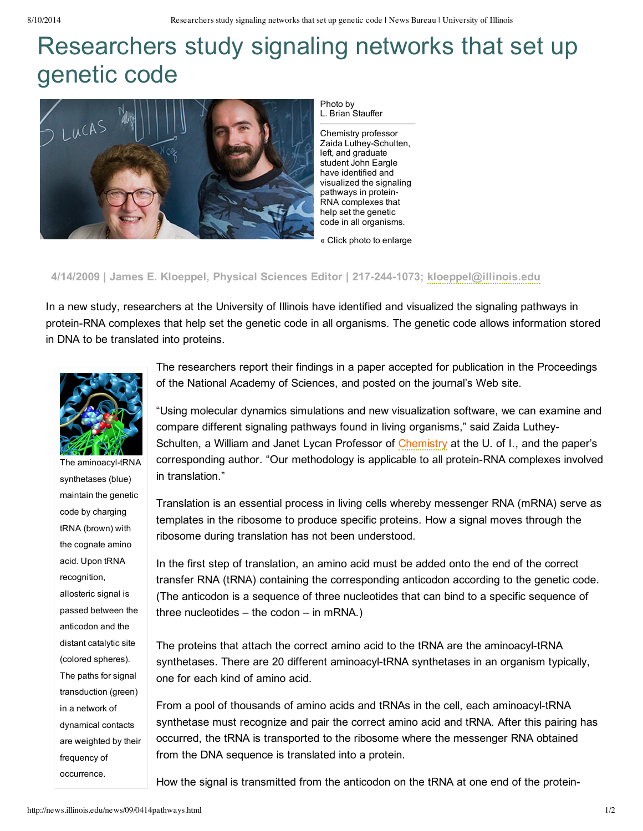# Researchers study signaling networks that set up genetic code



Photo by L. Brian Stauffer

Chemistry professor Zaida Luthey-Schulten, left, and graduate student John Eargle have identified and visualized the signaling pathways in protein-RNA complexes that help set the genetic code in all organisms.

« Click photo to enlarge

## **4/14/2009 | James E. Kloeppel, Physical Sciences Editor | 2172441073; [kloeppel@illinois.edu](mailto:kloeppel@illinois.edu)**

In a new study, researchers at the University of Illinois have identified and visualized the signaling pathways in protein-RNA complexes that help set the genetic code in all organisms. The genetic code allows information stored in DNA to be translated into proteins.



The aminoacyl-tRNA synthetases (blue) maintain the genetic code by charging tRNA (brown) with the cognate amino acid. Upon tRNA recognition, allosteric signal is passed between the anticodon and the distant catalytic site (colored spheres). The paths for signal transduction (green) in a network of dynamical contacts are weighted by their frequency of occurrence.

The researchers report their findings in a paper accepted for publication in the Proceedings of the National Academy of Sciences, and posted on the journal's Web site.

"Using molecular dynamics simulations and new visualization software, we can examine and compare different signaling pathways found in living organisms," said Zaida Luthey-Schulten, a William and Janet Lycan Professor of [Chemistry](http://chemistry.illinois.edu/) at the U. of I., and the paper's corresponding author. "Our methodology is applicable to all protein-RNA complexes involved in translation."

Translation is an essential process in living cells whereby messenger RNA (mRNA) serve as templates in the ribosome to produce specific proteins. How a signal moves through the ribosome during translation has not been understood.

In the first step of translation, an amino acid must be added onto the end of the correct transfer RNA (tRNA) containing the corresponding anticodon according to the genetic code. (The anticodon is a sequence of three nucleotides that can bind to a specific sequence of three nucleotides – the codon – in mRNA.)

The proteins that attach the correct amino acid to the tRNA are the aminoacyl-tRNA synthetases. There are 20 different aminoacyl-tRNA synthetases in an organism typically, one for each kind of amino acid.

From a pool of thousands of amino acids and tRNAs in the cell, each aminoacyl-tRNA synthetase must recognize and pair the correct amino acid and tRNA. After this pairing has occurred, the tRNA is transported to the ribosome where the messenger RNA obtained from the DNA sequence is translated into a protein.

How the signal is transmitted from the anticodon on the tRNA at one end of the protein